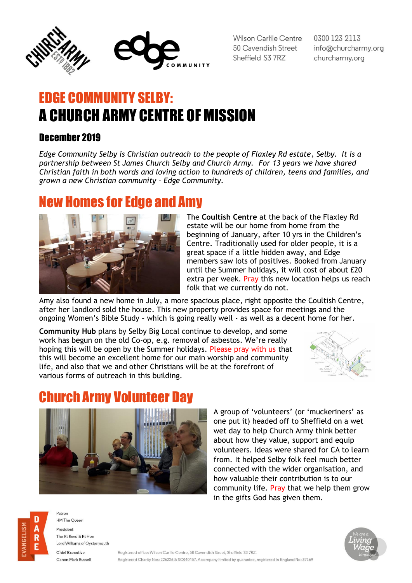

Wilson Carlile Centre 50 Cavendish Street Sheffield S3 7RZ

0300 123 2113 info@churcharmy.org churcharmy.org

## EDGE COMMUNITY SELBY: A CHURCH ARMY CENTRE OF MISSION

#### December 2019

*Edge Community Selby is Christian outreach to the people of Flaxley Rd estate, Selby. It is a partnership between St James Church Selby and Church Army. For 13 years we have shared Christian faith in both words and loving action to hundreds of children, teens and families, and grown a new Christian community – Edge Community.*

#### New Homes for Edge and Amy



The **Coultish Centre** at the back of the Flaxley Rd estate will be our home from home from the beginning of January, after 10 yrs in the Children's Centre. Traditionally used for older people, it is a great space if a little hidden away, and Edge members saw lots of positives. Booked from January until the Summer holidays, it will cost of about £20 extra per week. Pray this new location helps us reach folk that we currently do not.

Amy also found a new home in July, a more spacious place, right opposite the Coultish Centre, after her landlord sold the house. This new property provides space for meetings and the ongoing Women's Bible Study – which is going really well - as well as a decent home for her.

**Community Hub** plans by Selby Big Local continue to develop, and some work has begun on the old Co-op, e.g. removal of asbestos. We're really hoping this will be open by the Summer holidays. Please pray with us that this will become an excellent home for our main worship and community life, and also that we and other Christians will be at the forefront of various forms of outreach in this building.



## urch Army Volunteer



A group of 'volunteers' (or 'muckeriners' as one put it) headed off to Sheffield on a wet wet day to help Church Army think better about how they value, support and equip volunteers. Ideas were shared for CA to learn from. It helped Selby folk feel much better connected with the wider organisation, and how valuable their contribution is to our community life. Pray that we help them grow in the gifts God has given them.



Patron **HM The Queen** President

The Rt Revd & Rt Hon Lord Williams of Ovstermouth

Chief Executive Canon Mark Russell

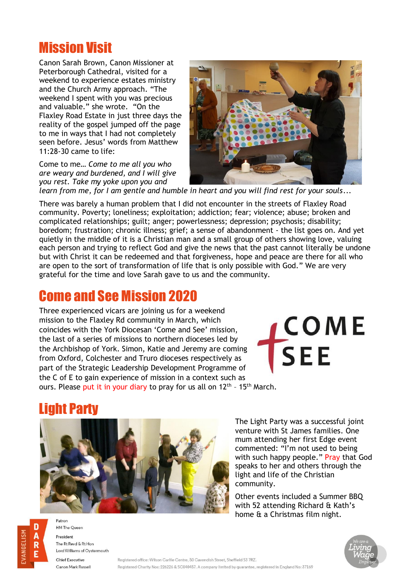## Mission Visit

Canon Sarah Brown, Canon Missioner at Peterborough Cathedral, visited for a weekend to experience estates ministry and the Church Army approach. "The weekend I spent with you was precious and valuable." she wrote. "On the Flaxley Road Estate in just three days the reality of the gospel jumped off the page to me in ways that I had not completely seen before. Jesus' words from Matthew 11:28-30 came to life:

Come to me… *Come to me all you who are weary and burdened, and I will give you rest. Take my yoke upon you and* 



*learn from me, for I am gentle and humble in heart and you will find rest for your souls*...

There was barely a human problem that I did not encounter in the streets of Flaxley Road community. Poverty; loneliness; exploitation; addiction; fear; violence; abuse; broken and complicated relationships; guilt; anger; powerlessness; depression; psychosis; disability; boredom; frustration; chronic illness; grief; a sense of abandonment - the list goes on. And yet quietly in the middle of it is a Christian man and a small group of others showing love, valuing each person and trying to reflect God and give the news that the past cannot literally be undone but with Christ it can be redeemed and that forgiveness, hope and peace are there for all who are open to the sort of transformation of life that is only possible with God." We are very grateful for the time and love Sarah gave to us and the community.

## Come and See Mission 2020

Three experienced vicars are joining us for a weekend mission to the Flaxley Rd community in March, which coincides with the York Diocesan 'Come and See' mission, the last of a series of missions to northern dioceses led by the Archbishop of York. Simon, Katie and Jeremy are coming from Oxford, Colchester and Truro dioceses respectively as part of the Strategic Leadership Development Programme of the C of E to gain experience of mission in a context such as ours. Please put it in your diary to pray for us all on 12<sup>th</sup> - 15<sup>th</sup> March.

**COME** SEE

## ht Party



The Light Party was a successful joint venture with St James families. One mum attending her first Edge event commented: "I'm not used to being with such happy people." Pray that God speaks to her and others through the light and life of the Christian community.

Other events included a Summer BBQ with 52 attending Richard & Kath's home & a Christmas film night.



HM The Queen President The Rt Revd & Rt Hon Lord Williams of Oystermouth **Chief Executive** 

Canon Mark Russell

Patron

D

R

Registered office: Wilson Carlile Centre, 50 Cavendish Street, Sheffield S3 7RZ. Registered Charity Nos: 226226 & SC040457. A company limited by guarantee, registered in England No: 37169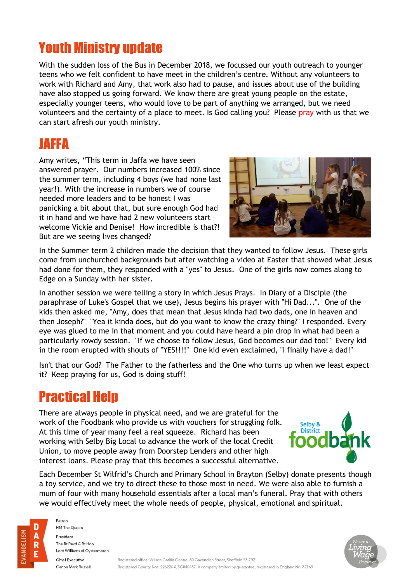## Youth Ministry update

With the sudden loss of the Bus in December 2018, we focussed our youth outreach to younger teens who we felt confident to have meet in the children's centre. Without any volunteers to work with Richard and Amy, that work also had to pause, and issues about use of the building have also stopped us going forward. We know there are great young people on the estate, especially younger teens, who would love to be part of anything we arranged, but we need volunteers and the certainty of a place to meet. Is God calling you? Please pray with us that we can start afresh our youth ministry.

### JAFFA

Amy writes, "This term in Jaffa we have seen answered prayer. Our numbers increased 100% since the summer term, including 4 boys (we had none last year!). With the increase in numbers we of course needed more leaders and to be honest I was panicking a bit about that, but sure enough God had it in hand and we have had 2 new volunteers start – welcome Vickie and Denise! How incredible is that?! But are we seeing lives changed?



In the Summer term 2 children made the decision that they wanted to follow Jesus. These girls come from unchurched backgrounds but after watching a video at Easter that showed what Jesus had done for them, they responded with a "yes" to Jesus. One of the girls now comes along to Edge on a Sunday with her sister.

In another session we were telling a story in which Jesus Prays. In Diary of a Disciple (the paraphrase of Luke's Gospel that we use), Jesus begins his prayer with "Hi Dad...". One of the kids then asked me, "Amy, does that mean that Jesus kinda had two dads, one in heaven and then Joseph?" "Yea it kinda does, but do you want to know the crazy thing?" I responded. Every eye was glued to me in that moment and you could have heard a pin drop in what had been a particularly rowdy session. "If we choose to follow Jesus, God becomes our dad too!" Every kid in the room erupted with shouts of "YES!!!!" One kid even exclaimed, "I finally have a dad!"

Isn't that our God? The Father to the fatherless and the One who turns up when we least expect it? Keep praying for us, God is doing stuff!

## Practical Help

There are always people in physical need, and we are grateful for the work of the Foodbank who provide us with vouchers for struggling folk. At this time of year many feel a real squeeze. Richard has been working with Selby Big Local to advance the work of the local Credit Union, to move people away from Doorstep Lenders and other high interest loans. Please pray that this becomes a successful alternative.



Each December St Wilfrid's Church and Primary School in Brayton (Selby) donate presents though a toy service, and we try to direct these to those most in need. We were also able to furnish a mum of four with many household essentials after a local man's funeral. Pray that with others we would effectively meet the whole needs of people, physical, emotional and spiritual.



**HM The Queen** President The Rt Revd & Rt Hon Lord Williams of Oystermouth

Patron

Chief Executive Canon Mark Russell